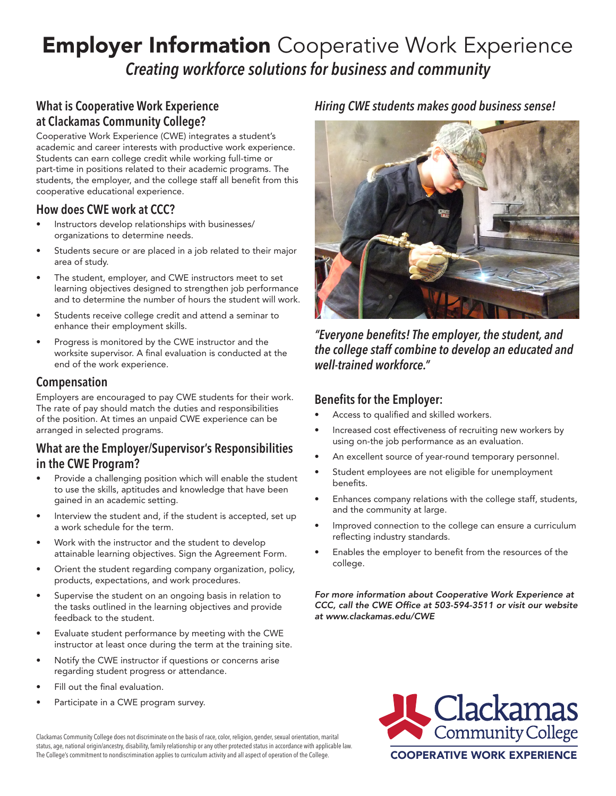# **Employer Information** Cooperative Work Experience *Creating workforce solutions for business and community*

# **What is Cooperative Work Experience at Clackamas Community College?**

Cooperative Work Experience (CWE) integrates a student's academic and career interests with productive work experience. Students can earn college credit while working full-time or part-time in positions related to their academic programs. The students, the employer, and the college staff all benefit from this cooperative educational experience.

### **How does CWE work at CCC?**

- Instructors develop relationships with businesses/ organizations to determine needs.
- Students secure or are placed in a job related to their major area of study.
- The student, employer, and CWE instructors meet to set learning objectives designed to strengthen job performance and to determine the number of hours the student will work.
- Students receive college credit and attend a seminar to enhance their employment skills.
- Progress is monitored by the CWE instructor and the worksite supervisor. A final evaluation is conducted at the end of the work experience.

### **Compensation**

Employers are encouraged to pay CWE students for their work. The rate of pay should match the duties and responsibilities of the position. At times an unpaid CWE experience can be arranged in selected programs.

### **What are the Employer/Supervisor's Responsibilities in the CWE Program?**

- Provide a challenging position which will enable the student to use the skills, aptitudes and knowledge that have been gained in an academic setting.
- Interview the student and, if the student is accepted, set up a work schedule for the term.
- Work with the instructor and the student to develop attainable learning objectives. Sign the Agreement Form.
- Orient the student regarding company organization, policy, products, expectations, and work procedures.
- Supervise the student on an ongoing basis in relation to the tasks outlined in the learning objectives and provide feedback to the student.
- Evaluate student performance by meeting with the CWE instructor at least once during the term at the training site.
- Notify the CWE instructor if questions or concerns arise regarding student progress or attendance.
- Fill out the final evaluation.
- Participate in a CWE program survey.

### *Hiring CWE students makes good business sense!*



*"Everyone benefits! The employer, the student, and the college staff combine to develop an educated and well-trained workforce."*

#### **Benefits for the Employer:**

- Access to qualified and skilled workers.
- Increased cost effectiveness of recruiting new workers by using on-the job performance as an evaluation.
- An excellent source of year-round temporary personnel.
- Student employees are not eligible for unemployment benefits.
- Enhances company relations with the college staff, students, and the community at large.
- Improved connection to the college can ensure a curriculum reflecting industry standards.
- Enables the employer to benefit from the resources of the college.

*For more information about Cooperative Work Experience at CCC, call the CWE Office at 503-594-3511 or visit our website at www.clackamas.edu/CWE*



Clackamas Community College does not discriminate on the basis of race, color, religion, gender, sexual orientation, marital status, age, national origin/ancestry, disability, family relationship or any other protected status in accordance with applicable law. The College's commitment to nondiscrimination applies to curriculum activity and all aspect of operation of the College.<br> **COOPERATIVE WORK EXPERIENCE**